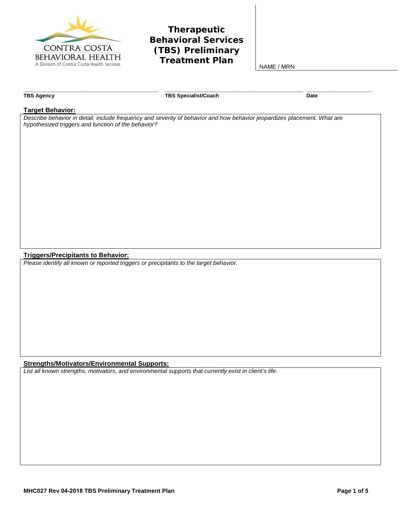

**Therapeutic Behavioral Services (TBS) Preliminary Treatment Plan**

NAME / MRN

**\_\_\_\_\_\_\_\_\_\_\_\_\_\_\_\_\_\_\_\_\_\_\_\_\_\_\_\_\_\_\_\_\_\_\_\_\_ \_\_\_\_\_\_\_\_\_\_\_\_\_\_\_\_\_\_\_\_\_\_\_\_\_\_\_\_\_\_\_\_\_\_\_\_\_\_ \_\_\_\_\_\_\_\_\_\_\_\_\_\_\_\_\_\_**

**TBS Agency** Date **Date TBS Specialist/Coach** Date

### **Target Behavior:**

*Describe behavior in detail: include frequency and severity of behavior and how behavior jeopardizes placement. What are hypothesized triggers and function of the behavior?*

## **Triggers/Precipitants to Behavior:**

*Please identify all known or reported triggers or precipitants to the target behavior.*

# **Strengths/Motivators/Environmental Supports:**

*List all known strengths, motivators, and environmental supports that currently exist in client's life.*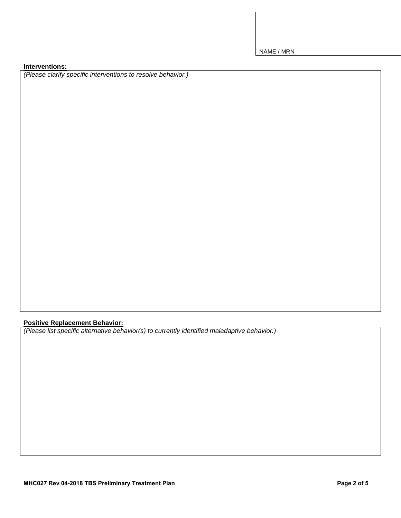**Interventions:** 

*(Please clarify specific interventions to resolve behavior.)*

# **Positive Replacement Behavior:**

*(Please list specific alternative behavior(s) to currently identified maladaptive behavior.)*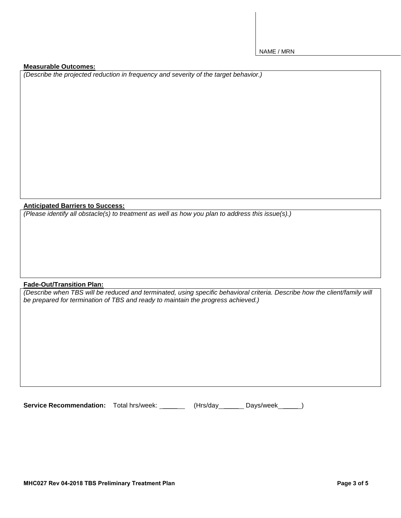#### **Measurable Outcomes:**

*(Describe the projected reduction in frequency and severity of the target behavior.)*

## **Anticipated Barriers to Success:**

*(Please identify all obstacle(s) to treatment as well as how you plan to address this issue(s).)*

#### **Fade-Out/Transition Plan:**

*(Describe when TBS will be reduced and terminated, using specific behavioral criteria. Describe how the client/family will be prepared for termination of TBS and ready to maintain the progress achieved.)* 

Service Recommendation: Total hrs/week: \_\_\_\_\_ (Hrs/day \_\_\_\_ Days/week \_\_\_ )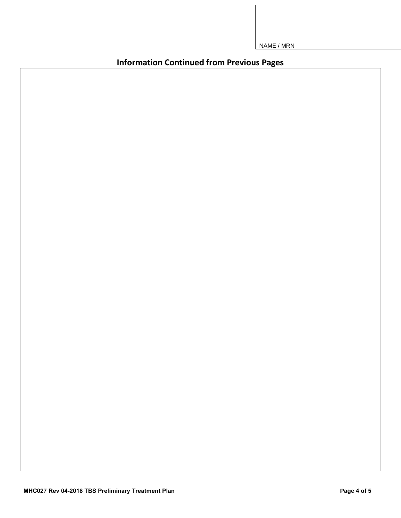**Information Continued from Previous Pages**